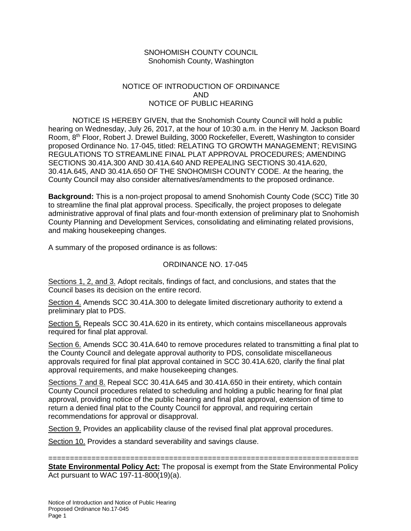## SNOHOMISH COUNTY COUNCIL Snohomish County, Washington

## NOTICE OF INTRODUCTION OF ORDINANCE AND NOTICE OF PUBLIC HEARING

NOTICE IS HEREBY GIVEN, that the Snohomish County Council will hold a public hearing on Wednesday, July 26, 2017, at the hour of 10:30 a.m. in the Henry M. Jackson Board Room, 8th Floor, Robert J. Drewel Building, 3000 Rockefeller, Everett, Washington to consider proposed Ordinance No. 17-045, titled: RELATING TO GROWTH MANAGEMENT; REVISING REGULATIONS TO STREAMLINE FINAL PLAT APPROVAL PROCEDURES; AMENDING SECTIONS 30.41A.300 AND 30.41A.640 AND REPEALING SECTIONS 30.41A.620, 30.41A.645, AND 30.41A.650 OF THE SNOHOMISH COUNTY CODE. At the hearing, the County Council may also consider alternatives/amendments to the proposed ordinance.

**Background:** This is a non-project proposal to amend Snohomish County Code (SCC) Title 30 to streamline the final plat approval process. Specifically, the project proposes to delegate administrative approval of final plats and four-month extension of preliminary plat to Snohomish County Planning and Development Services, consolidating and eliminating related provisions, and making housekeeping changes.

A summary of the proposed ordinance is as follows:

## ORDINANCE NO. 17-045

Sections 1, 2, and 3. Adopt recitals, findings of fact, and conclusions, and states that the Council bases its decision on the entire record.

Section 4. Amends SCC 30.41A.300 to delegate limited discretionary authority to extend a preliminary plat to PDS.

Section 5. Repeals SCC 30.41A.620 in its entirety, which contains miscellaneous approvals required for final plat approval.

Section 6. Amends SCC 30.41A.640 to remove procedures related to transmitting a final plat to the County Council and delegate approval authority to PDS, consolidate miscellaneous approvals required for final plat approval contained in SCC 30.41A.620, clarify the final plat approval requirements, and make housekeeping changes.

Sections 7 and 8. Repeal SCC 30.41A.645 and 30.41A.650 in their entirety, which contain County Council procedures related to scheduling and holding a public hearing for final plat approval, providing notice of the public hearing and final plat approval, extension of time to return a denied final plat to the County Council for approval, and requiring certain recommendations for approval or disapproval.

Section 9. Provides an applicability clause of the revised final plat approval procedures.

Section 10. Provides a standard severability and savings clause.

======================================================================== **State Environmental Policy Act:** The proposal is exempt from the State Environmental Policy Act pursuant to WAC 197-11-800(19)(a).